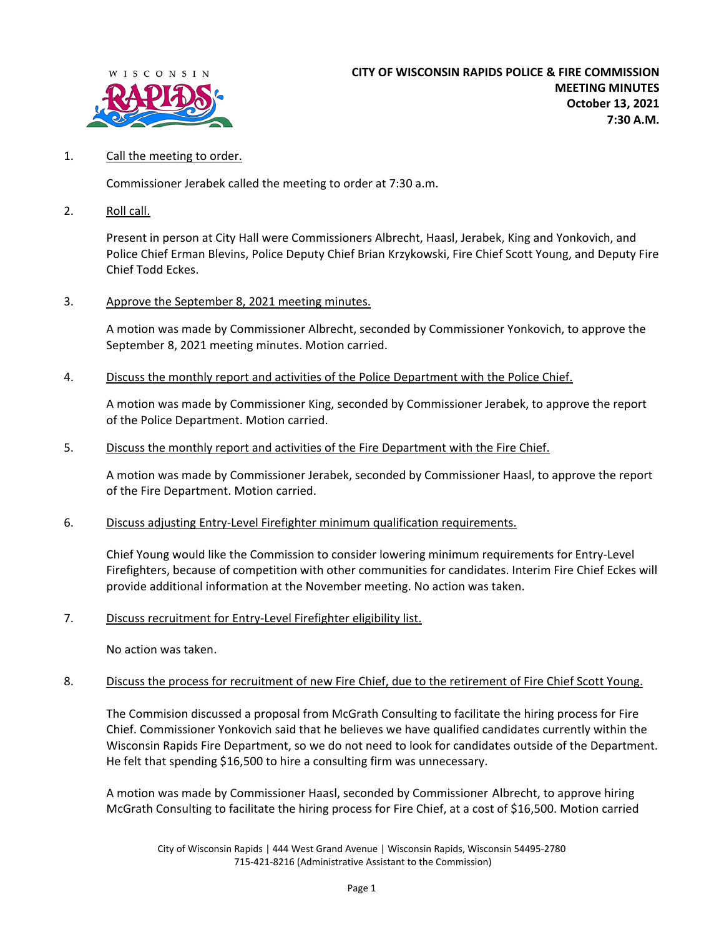

## 1. Call the meeting to order.

Commissioner Jerabek called the meeting to order at 7:30 a.m.

2. Roll call.

Present in person at City Hall were Commissioners Albrecht, Haasl, Jerabek, King and Yonkovich, and Police Chief Erman Blevins, Police Deputy Chief Brian Krzykowski, Fire Chief Scott Young, and Deputy Fire Chief Todd Eckes.

3. Approve the September 8, 2021 meeting minutes.

A motion was made by Commissioner Albrecht, seconded by Commissioner Yonkovich, to approve the September 8, 2021 meeting minutes. Motion carried.

4. Discuss the monthly report and activities of the Police Department with the Police Chief.

A motion was made by Commissioner King, seconded by Commissioner Jerabek, to approve the report of the Police Department. Motion carried.

5. Discuss the monthly report and activities of the Fire Department with the Fire Chief.

A motion was made by Commissioner Jerabek, seconded by Commissioner Haasl, to approve the report of the Fire Department. Motion carried.

6. Discuss adjusting Entry-Level Firefighter minimum qualification requirements.

Chief Young would like the Commission to consider lowering minimum requirements for Entry-Level Firefighters, because of competition with other communities for candidates. Interim Fire Chief Eckes will provide additional information at the November meeting. No action was taken.

7. Discuss recruitment for Entry-Level Firefighter eligibility list.

No action was taken.

8. Discuss the process for recruitment of new Fire Chief, due to the retirement of Fire Chief Scott Young.

The Commision discussed a proposal from McGrath Consulting to facilitate the hiring process for Fire Chief. Commissioner Yonkovich said that he believes we have qualified candidates currently within the Wisconsin Rapids Fire Department, so we do not need to look for candidates outside of the Department. He felt that spending \$16,500 to hire a consulting firm was unnecessary.

A motion was made by Commissioner Haasl, seconded by Commissioner Albrecht, to approve hiring McGrath Consulting to facilitate the hiring process for Fire Chief, at a cost of \$16,500. Motion carried